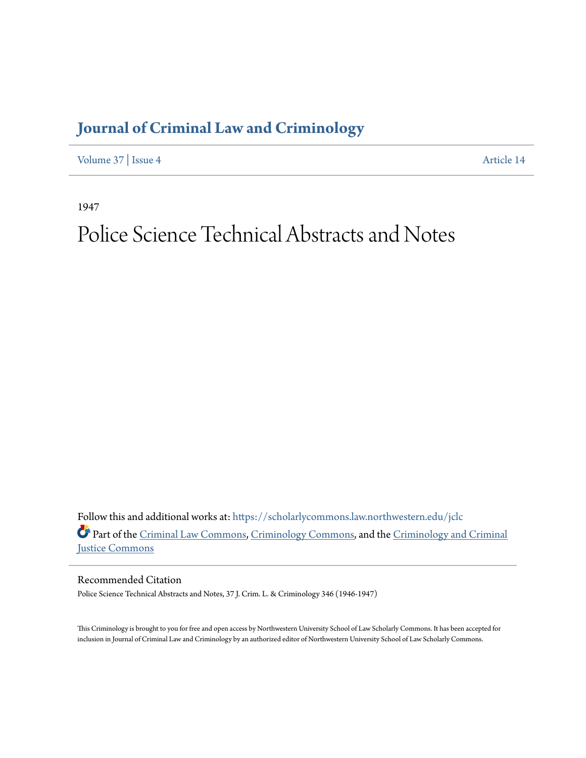## **[Journal of Criminal Law and Criminology](https://scholarlycommons.law.northwestern.edu/jclc?utm_source=scholarlycommons.law.northwestern.edu%2Fjclc%2Fvol37%2Fiss4%2F14&utm_medium=PDF&utm_campaign=PDFCoverPages)**

[Volume 37](https://scholarlycommons.law.northwestern.edu/jclc/vol37?utm_source=scholarlycommons.law.northwestern.edu%2Fjclc%2Fvol37%2Fiss4%2F14&utm_medium=PDF&utm_campaign=PDFCoverPages) | [Issue 4](https://scholarlycommons.law.northwestern.edu/jclc/vol37/iss4?utm_source=scholarlycommons.law.northwestern.edu%2Fjclc%2Fvol37%2Fiss4%2F14&utm_medium=PDF&utm_campaign=PDFCoverPages) [Article 14](https://scholarlycommons.law.northwestern.edu/jclc/vol37/iss4/14?utm_source=scholarlycommons.law.northwestern.edu%2Fjclc%2Fvol37%2Fiss4%2F14&utm_medium=PDF&utm_campaign=PDFCoverPages)

1947

## Police Science Technical Abstracts and Notes

Follow this and additional works at: [https://scholarlycommons.law.northwestern.edu/jclc](https://scholarlycommons.law.northwestern.edu/jclc?utm_source=scholarlycommons.law.northwestern.edu%2Fjclc%2Fvol37%2Fiss4%2F14&utm_medium=PDF&utm_campaign=PDFCoverPages) Part of the [Criminal Law Commons](http://network.bepress.com/hgg/discipline/912?utm_source=scholarlycommons.law.northwestern.edu%2Fjclc%2Fvol37%2Fiss4%2F14&utm_medium=PDF&utm_campaign=PDFCoverPages), [Criminology Commons](http://network.bepress.com/hgg/discipline/417?utm_source=scholarlycommons.law.northwestern.edu%2Fjclc%2Fvol37%2Fiss4%2F14&utm_medium=PDF&utm_campaign=PDFCoverPages), and the [Criminology and Criminal](http://network.bepress.com/hgg/discipline/367?utm_source=scholarlycommons.law.northwestern.edu%2Fjclc%2Fvol37%2Fiss4%2F14&utm_medium=PDF&utm_campaign=PDFCoverPages) [Justice Commons](http://network.bepress.com/hgg/discipline/367?utm_source=scholarlycommons.law.northwestern.edu%2Fjclc%2Fvol37%2Fiss4%2F14&utm_medium=PDF&utm_campaign=PDFCoverPages)

Recommended Citation

Police Science Technical Abstracts and Notes, 37 J. Crim. L. & Criminology 346 (1946-1947)

This Criminology is brought to you for free and open access by Northwestern University School of Law Scholarly Commons. It has been accepted for inclusion in Journal of Criminal Law and Criminology by an authorized editor of Northwestern University School of Law Scholarly Commons.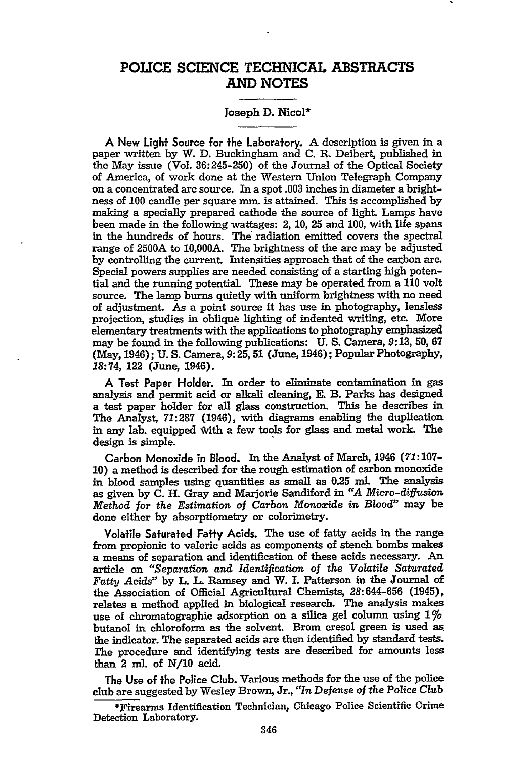## **POLICE SCIENCE TECHNICAL ABSTRACTS AND NOTES**

## Joseph **D.** Nicol\*

A New **Light** Source for the Laboratory. **A** description is given in a paper written **by** W. **D.** Buckingham and **C.** R. Deibert, published in the May issue **(Vol. 36:245-250)** of the Journal of the Optical Society of America, of work done at the Western Union Telegraph Company on a concentrated **arc** source. In a spot .003 inches in diameter a brightness of **100** candle per square mm. is attained. **This** is accomplished **by** making a specially prepared cathode the source of light. Lamps have been made in the following wattages: 2, **10, 25** and **100,** with life spans in the hundreds of hours. The radiation emitted covers the spectral range of 2500A to 10,000A. The brightness of the arc may be adjusted by controlling the current. Intensities approach that of the carbon arc. Special powers supplies are needed consisting of a starting high potential and the running potential. These may be operated from a 110 volt source. The lamp burns quietly with uniform brightness with no need of adjustment. As a point source it has use in photography, lensless projection, studies in oblique lighting of indented writing, etc. More elementary treatments with the applications to photography emphasized may be found in the following publications: U. **S.** Camera, **9:13, 50,** 67 (May, 1946); **U. S.** Camera, **9:25,51** (June, 1946); Popular Photography, **18:74,** 122 (June, 1946).

**A** Test Paper Holder. In order to eliminate contamination in gas analysis and permit acid or alkali cleaning, **E.** B. Parks has designed a test paper holder for all glass construction. This he describes in The Analyst, 71:287 (1946), with diagrams enabling the duplication in any lab. equipped With a few tools for glass and metal work. The design is simple.

Carbon Monoxide in Blood. In the Analyst of March, 1946 *(71:107-* **10)** a method is described for the rough estimation of carbon monoxide in blood samples using quantities as small as **0.25 ml.** The analysis as given by **C.** H. Gray and Marjorie Sandiford in *"A Micro-diffusion Method for* the *Estimation of* Carbon Monoxide *in* Blood" may be done either by absorptiometry or colorimetry.

Volatile Saturated Fatty Acids. The use of fatty acids in the range from propionic to valeric acids as components of stench bombs makes a means of separation and identification of these acids necessary. An article on *"Separation and Identification of the Volatile Saturated Fatty Acids"* by L. L Ramsey and W. **I.** Patterson in the Journal of the Association of Official Agricultural Chemists, 28:644-656 (1945), relates a method applied in biological research. The analysis makes use of chromatographic adsorption on a silica gel column using **1%** butanol in chloroform as the solvent. Brom cresol green is used as. the indicator. The separated acids are then identified by standard tests. he procedure and identifying tests are described for amounts less than 2 ml. of **N/10** acid.

The Use of the Police Club. Various methods for the use of the police club are suggested by Wesley Brown, Jr., *"In* Defense of the Police *Club*

<sup>\*</sup>Firearms Identification Technician, Chicago Police Scientific Crime Detection Laboratory.